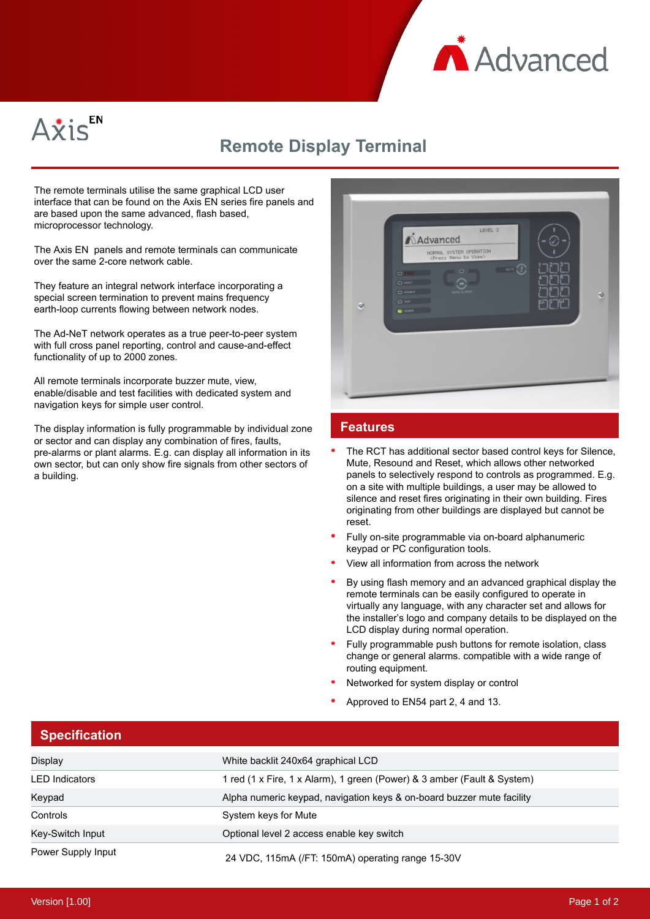



## **Remote Display Terminal**

The remote terminals utilise the same graphical LCD user interface that can be found on the Axis EN series fire panels and are based upon the same advanced, flash based, microprocessor technology.

The Axis EN panels and remote terminals can communicate over the same 2-core network cable.

They feature an integral network interface incorporating a special screen termination to prevent mains frequency earth-loop currents flowing between network nodes.

The Ad-NeT network operates as a true peer-to-peer system with full cross panel reporting, control and cause-and-effect functionality of up to 2000 zones.

All remote terminals incorporate buzzer mute, view, enable/disable and test facilities with dedicated system and navigation keys for simple user control.

The display information is fully programmable by individual zone or sector and can display any combination of fires, faults, pre-alarms or plant alarms. E.g. can display all information in its own sector, but can only show fire signals from other sectors of a building.



## **Features**

- The RCT has additional sector based control keys for Silence, Mute, Resound and Reset, which allows other networked panels to selectively respond to controls as programmed. E.g. on a site with multiple buildings, a user may be allowed to silence and reset fires originating in their own building. Fires originating from other buildings are displayed but cannot be reset.
- Fully on-site programmable via on-board alphanumeric keypad or PC configuration tools.
- View all information from across the network
- By using flash memory and an advanced graphical display the remote terminals can be easily configured to operate in virtually any language, with any character set and allows for the installer's logo and company details to be displayed on the LCD display during normal operation.
- Fully programmable push buttons for remote isolation, class change or general alarms. compatible with a wide range of routing equipment.
- Networked for system display or control
- Approved to EN54 part 2, 4 and 13.

| <b>Specification</b>  |                                                                         |
|-----------------------|-------------------------------------------------------------------------|
| Display               | White backlit 240x64 graphical LCD                                      |
| <b>LED</b> Indicators | 1 red (1 x Fire, 1 x Alarm), 1 green (Power) & 3 amber (Fault & System) |
| Keypad                | Alpha numeric keypad, navigation keys & on-board buzzer mute facility   |
| Controls              | System keys for Mute                                                    |
| Key-Switch Input      | Optional level 2 access enable key switch                               |
| Power Supply Input    | 24 VDC, 115mA (/FT: 150mA) operating range 15-30V                       |